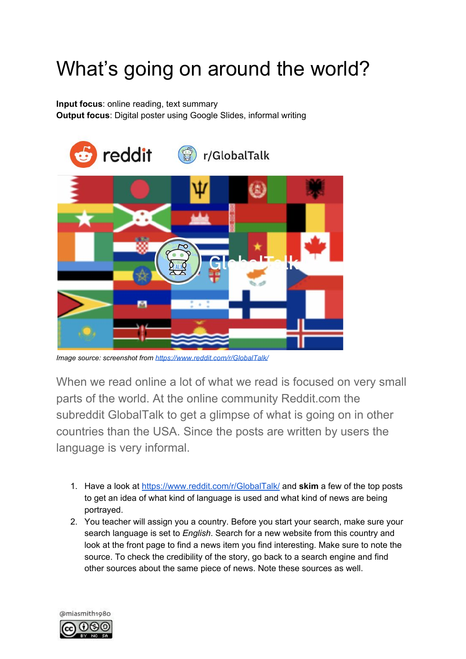## What's going on around the world?

**Input focus**: online reading, text summary **Output focus**: Digital poster using Google Slides, informal writing



*Image source: screenshot from <https://www.reddit.com/r/GlobalTalk/>*

When we read online a lot of what we read is focused on very small parts of the world. At the online community Reddit.com the subreddit GlobalTalk to get a glimpse of what is going on in other countries than the USA. Since the posts are written by users the language is very informal.

- 1. Have a look at <https://www.reddit.com/r/GlobalTalk/> and **skim** a few of the top posts to get an idea of what kind of language is used and what kind of news are being portrayed.
- 2. You teacher will assign you a country. Before you start your search, make sure your search language is set to *English*. Search for a new website from this country and look at the front page to find a news item you find interesting. Make sure to note the source. To check the credibility of the story, go back to a search engine and find other sources about the same piece of news. Note these sources as well.

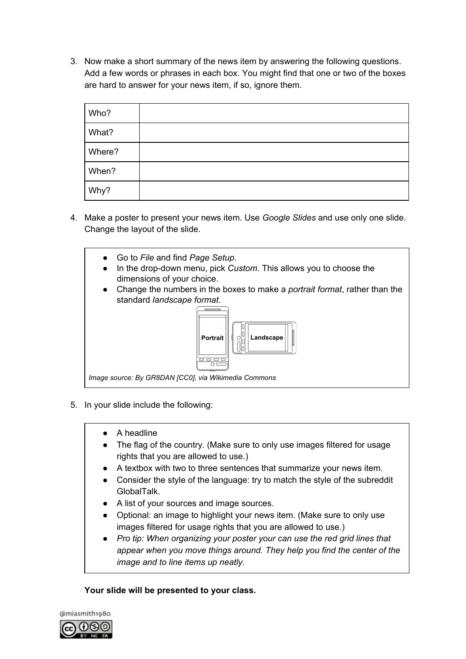3. Now make a short summary of the news item by answering the following questions. Add a few words or phrases in each box. You might find that one or two of the boxes are hard to answer for your news item, if so, ignore them.

| Who?   |  |
|--------|--|
| What?  |  |
| Where? |  |
| When?  |  |
| Why?   |  |

4. Make a poster to present your news item. Use *Google Slides* and use only one slide. Change the layout of the slide.



- 5. In your slide include the following:
	- A headline
	- The flag of the country. (Make sure to only use images filtered for usage rights that you are allowed to use.)
	- A textbox with two to three sentences that summarize your news item.
	- Consider the style of the language: try to match the style of the subreddit GlobalTalk.
	- A list of your sources and image sources.
	- Optional: an image to highlight your news item. (Make sure to only use images filtered for usage rights that you are allowed to use.)
	- *● Pro tip: When organizing your poster your can use the red grid lines that appear when you move things around. They help you find the center of the image and to line items up neatly.*

**Your slide will be presented to your class.**